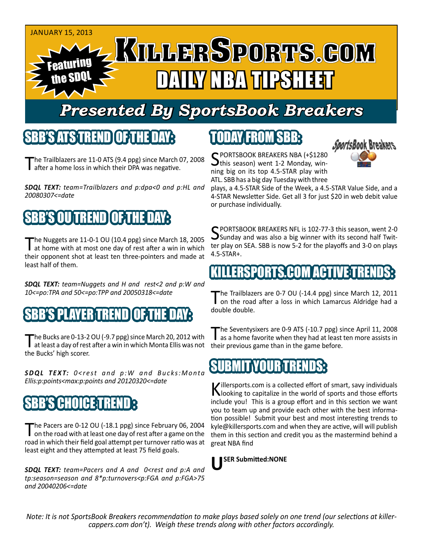

## *Presented By SportsBook Breakers*

### SBB'S ATSTREN

he Trailblazers are 11-0 ATS (9.4 ppg) since March 07, 2008 **I** after a home loss in which their DPA was negative.

*SDQL TEXT: team=Trailblazers and p:dpa<0 and p:HL and 20080307<=date*

## BB'S OU TREND TOF THE DAY

The Nuggets are 11-0-1 OU (10.4 ppg) since March 18, 2005<br>at home with at most one day of rest after a win in which their opponent shot at least ten three-pointers and made at least half of them.

*SDQL TEXT: team=Nuggets and H and rest<2 and p:W and 10<=po:TPA and 50<=po:TPP and 20050318<=date*

#### S PLAYERTREN

The Bucks are 0-13-2 OU (-9.7 ppg) since March 20, 2012 with<br>at least a day of rest after a win in which Monta Ellis was not the Bucks' high scorer.

**SDQL TEXT:**  $0 < r$ est and  $p:W$  and Bucks: Monta *Ellis:p:points<max:p:points and 20120320<=date*

## SBB'S CHOICE TRE

The Pacers are 0-12 OU (-18.1 ppg) since February 06, 2004<br>
on the road with at least one day of rest after a game on the road in which their field goal attempt per turnover ratio was at least eight and they attempted at least 75 field goals.

*SDQL TEXT: team=Pacers and A and 0<rest and p:A and tp:season=season and 8\*p:turnovers<p:FGA and p:FGA>75 and 20040206<=date*

## TODAY FROM SBB:



SPORTSBOOK BREAKERS NBA (+\$1280<br>this season) went 1-2 Monday, winning big on its top 4.5-STAR play with ATL. SBB has a big day Tuesday with three

plays, a 4.5-STAR Side of the Week, a 4.5-STAR Value Side, and a 4-STAR Newsletter Side. Get all 3 for just \$20 in web debit value or purchase individually.

SPORTSBOOK BREAKERS NFL is 102-77-3 this season, went 2-0<br>Sunday and was also a big winner with its second half Twitter play on SEA. SBB is now 5-2 for the playoffs and 3-0 on plays 4.5-STAR+.

#### **KILLERSPORTS.COM ACTIV**

The Trailblazers are 0-7 OU (-14.4 ppg) since March 12, 2011<br>
on the road after a loss in which Lamarcus Aldridge had a double double.

The Seventysixers are 0-9 ATS (-10.7 ppg) since April 11, 2008<br>as a home favorite when they had at least ten more assists in their previous game than in the game before.

#### **SUBM**

Killersports.com is a collected effort of smart, savy individuals<br>Nooking to capitalize in the world of sports and those efforts include you! This is a group effort and in this section we want you to team up and provide each other with the best information possible! Submit your best and most interesting trends to kyle@killersports.com and when they are active, will will publish them in this section and credit you as the mastermind behind a great NBA find

**USER Submitted:NONE**

*Note: It is not SportsBook Breakers recommendation to make plays based solely on one trend (our selections at killercappers.com don't). Weigh these trends along with other factors accordingly.*